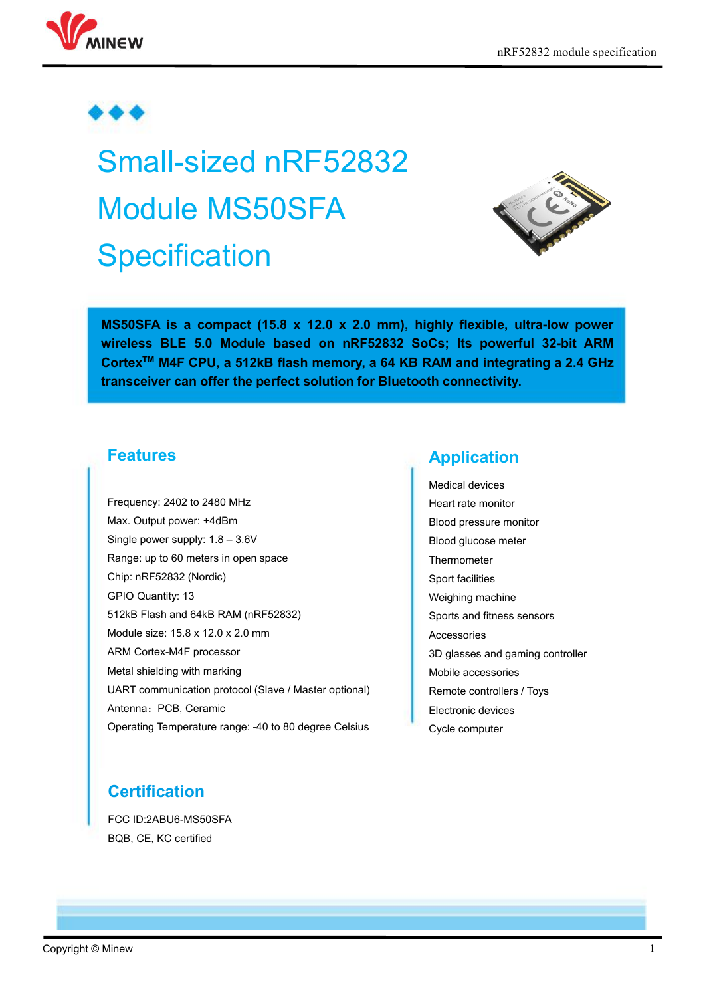

# Small-sized nRF52832 Module MS50SFA **Specification**



**MS50SFA is a compact (15.8 x 12.0 x 2.0 mm), highly flexible, ultra-low power wireless BLE 5.0 Module based on nRF52832 SoCs; Its powerful 32-bit ARM Cortex TM M4F CPU, a 512kB flash memory, a 64 KB RAM and integrating a 2.4 GHz transceiver can offer the perfect solution for Bluetooth connectivity.**

#### **Features**

Frequency: 2402 to 2480 MHz Max. Output power: +4dBm Single power supply: 1.8 – 3.6V Range: up to 60 meters in open space Chip: nRF52832 (Nordic) GPIO Quantity: 13 512kB Flash and 64kB RAM (nRF52832) Module size: 15.8 x 12.0 x 2.0 mm ARM Cortex-M4F processor Metal shielding with marking UART communication protocol (Slave / Master optional) Antenna: PCB, Ceramic Operating Temperature range: -40 to 80 degree Celsius

#### **Application**

Medical devices Heart rate monitor Blood pressure monitor Blood glucose meter Thermometer Sport facilities Weighing machine Sports and fitness sensors Accessories 3D glasses and gaming controller Mobile accessories Remote controllers / Toys Electronic devices Cycle computer

# **Certification**

FCC ID:2ABU6-MS50SFA BQB, CE, KC certified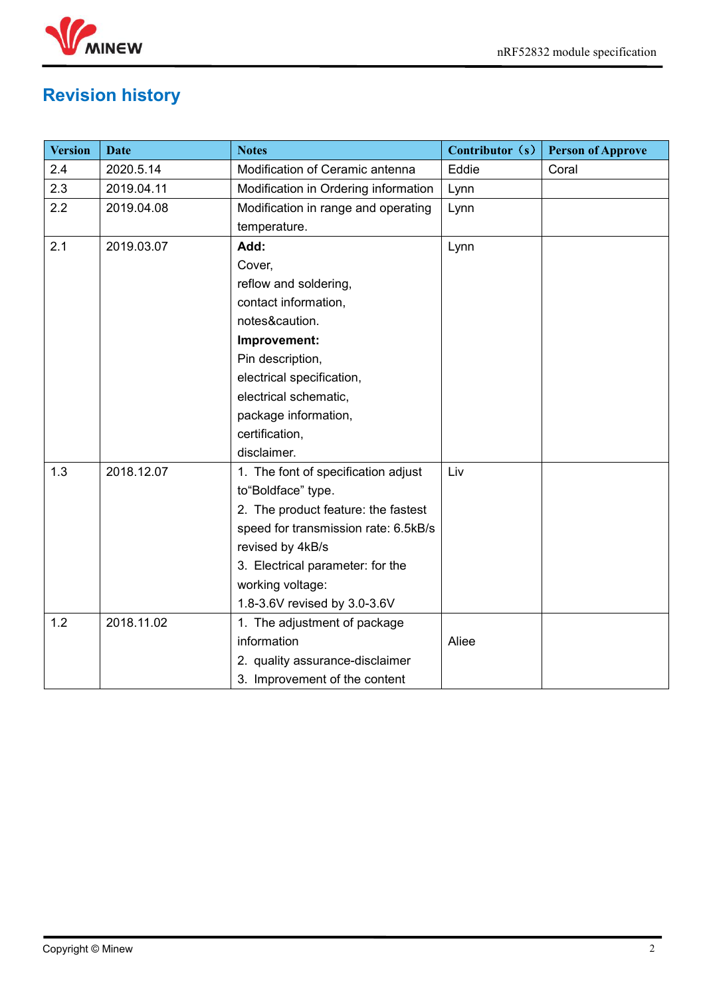

# <span id="page-1-0"></span>**Revision history**

| <b>Version</b> | <b>Date</b> | <b>Notes</b>                         | Contributor (s) | <b>Person of Approve</b> |
|----------------|-------------|--------------------------------------|-----------------|--------------------------|
| 2.4            | 2020.5.14   | Modification of Ceramic antenna      | Eddie           | Coral                    |
| 2.3            | 2019.04.11  | Modification in Ordering information | Lynn            |                          |
| 2.2            | 2019.04.08  | Modification in range and operating  | Lynn            |                          |
|                |             | temperature.                         |                 |                          |
| 2.1            | 2019.03.07  | Add:                                 | Lynn            |                          |
|                |             | Cover,                               |                 |                          |
|                |             | reflow and soldering,                |                 |                          |
|                |             | contact information,                 |                 |                          |
|                |             | notes&caution.                       |                 |                          |
|                |             | Improvement:                         |                 |                          |
|                |             | Pin description,                     |                 |                          |
|                |             | electrical specification,            |                 |                          |
|                |             | electrical schematic,                |                 |                          |
|                |             | package information,                 |                 |                          |
|                |             | certification,                       |                 |                          |
|                |             | disclaimer.                          |                 |                          |
| 1.3            | 2018.12.07  | 1. The font of specification adjust  | Liv             |                          |
|                |             | to "Boldface" type.                  |                 |                          |
|                |             | 2. The product feature: the fastest  |                 |                          |
|                |             | speed for transmission rate: 6.5kB/s |                 |                          |
|                |             | revised by 4kB/s                     |                 |                          |
|                |             | 3. Electrical parameter: for the     |                 |                          |
|                |             | working voltage:                     |                 |                          |
|                |             | 1.8-3.6V revised by 3.0-3.6V         |                 |                          |
| 1.2            | 2018.11.02  | 1. The adjustment of package         |                 |                          |
|                |             | information                          | Aliee           |                          |
|                |             | 2. quality assurance-disclaimer      |                 |                          |
|                |             | 3. Improvement of the content        |                 |                          |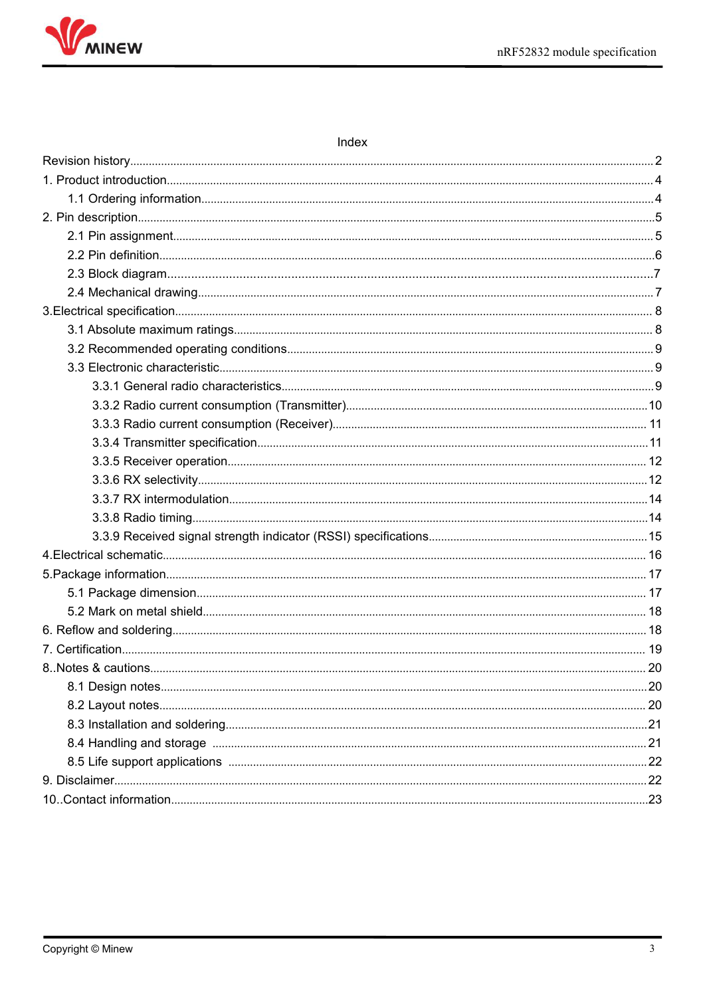

| ınde |  |
|------|--|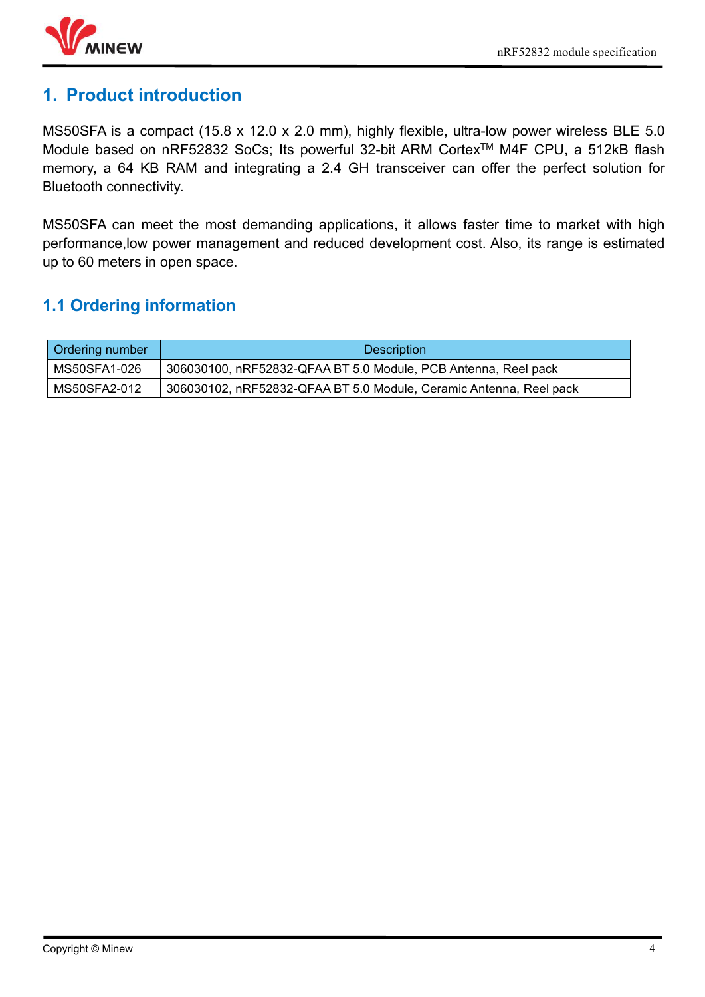

# <span id="page-3-0"></span>**1. Product introduction**

MS50SFA is a compact (15.8 x 12.0 x 2.0 mm), highly flexible, ultra-low power wireless BLE 5.0 Module based on nRF52832 SoCs; Its powerful 32-bit ARM Cortex TM M4F CPU, a 512kB flash memory, a 64 KB RAM and integrating a 2.4 GH transceiver can offer the perfect solution for Bluetooth connectivity.

MS50SFA can meet the most demanding applications, it allows faster time to market with high performance, low power management and reduced development cost. Also, its range is estimated up to 60 meters in open space.

# <span id="page-3-1"></span>**1.1 Ordering information**

| <b>Ordering number</b> | Description                                                        |
|------------------------|--------------------------------------------------------------------|
| MS50SFA1-026           | 306030100, nRF52832-QFAA BT 5.0 Module, PCB Antenna, Reel pack     |
| MS50SFA2-012           | 306030102, nRF52832-QFAA BT 5.0 Module, Ceramic Antenna, Reel pack |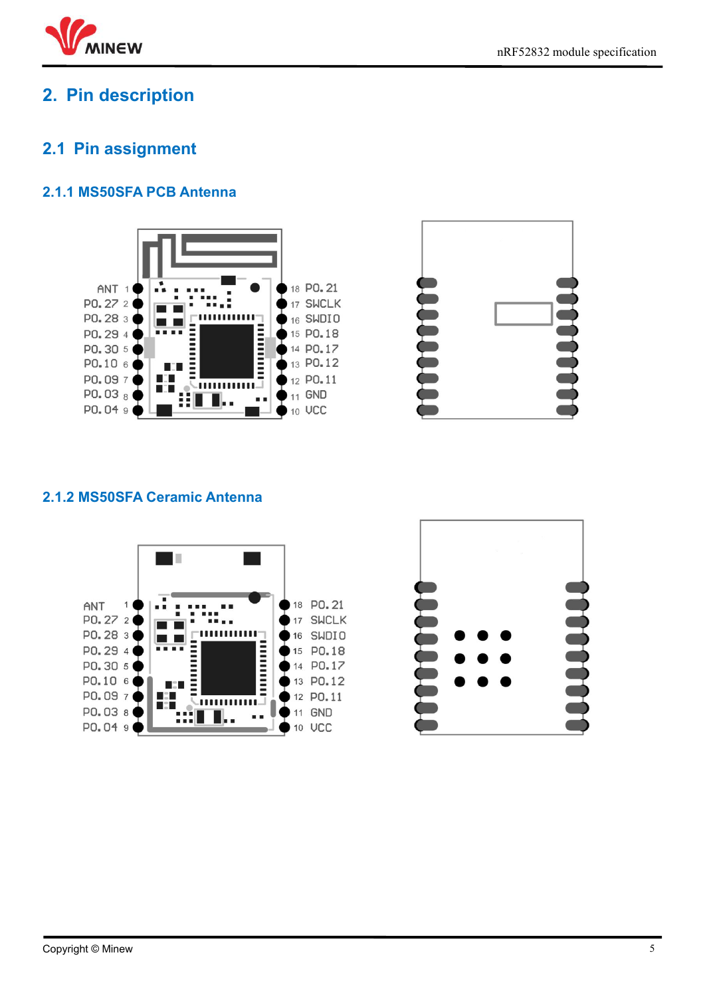

# <span id="page-4-0"></span>**2. Pin description**

# <span id="page-4-1"></span>**2.1 Pin assignment**

#### **2.1.1 MS50SFA PCB Antenna**





#### **2.1.2 MS50SFA Ceramic Antenna**



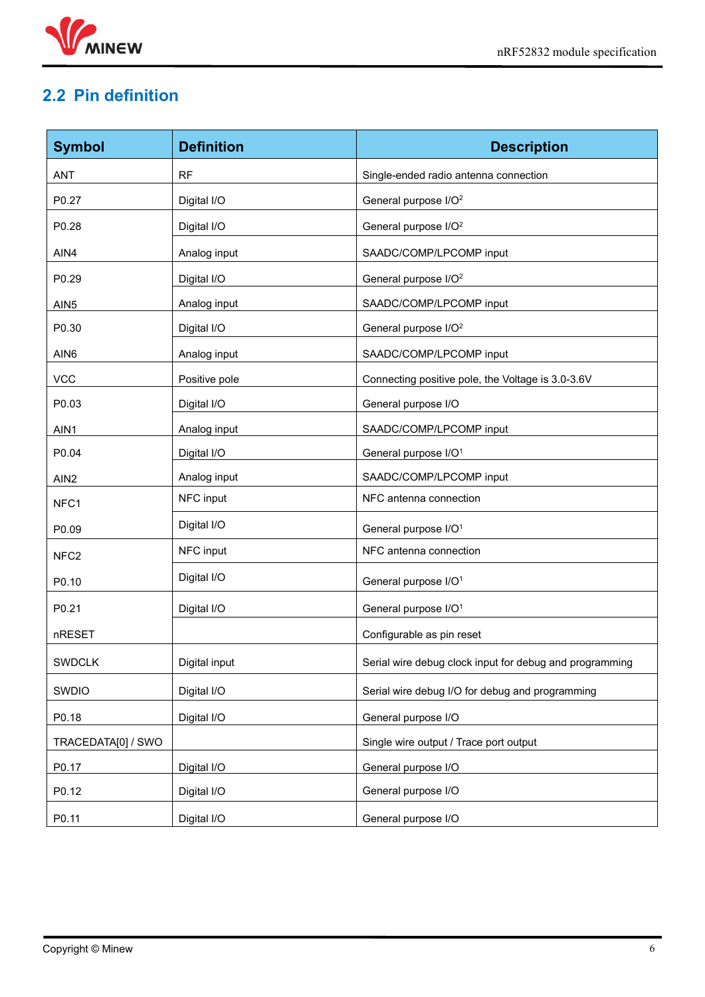

# <span id="page-5-0"></span>**2.2 Pin definition**

| <b>Symbol</b>      | <b>Definition</b> | <b>Description</b>                                      |
|--------------------|-------------------|---------------------------------------------------------|
| ANT                | <b>RF</b>         | Single-ended radio antenna connection                   |
| P0.27              | Digital I/O       | General purpose I/O <sup>2</sup>                        |
| P0.28              | Digital I/O       | General purpose I/O <sup>2</sup>                        |
| AIN4               | Analog input      | SAADC/COMP/LPCOMP input                                 |
| P0.29              | Digital I/O       | General purpose I/O <sup>2</sup>                        |
| AIN <sub>5</sub>   | Analog input      | SAADC/COMP/LPCOMP input                                 |
| P0.30              | Digital I/O       | General purpose I/O <sup>2</sup>                        |
| AIN <sub>6</sub>   | Analog input      | SAADC/COMP/LPCOMP input                                 |
| <b>VCC</b>         | Positive pole     | Connecting positive pole, the Voltage is 3.0-3.6V       |
| P0.03              | Digital I/O       | General purpose I/O                                     |
| AIN1               | Analog input      | SAADC/COMP/LPCOMP input                                 |
| P0.04              | Digital I/O       | General purpose I/O <sup>1</sup>                        |
| AIN <sub>2</sub>   | Analog input      | SAADC/COMP/LPCOMP input                                 |
| NFC1               | NFC input         | NFC antenna connection                                  |
| P0.09              | Digital I/O       | General purpose I/O <sup>1</sup>                        |
| NFC <sub>2</sub>   | NFC input         | NFC antenna connection                                  |
| P0.10              | Digital I/O       | General purpose I/O <sup>1</sup>                        |
| P0.21              | Digital I/O       | General purpose I/O <sup>1</sup>                        |
| nRESET             |                   | Configurable as pin reset                               |
| <b>SWDCLK</b>      | Digital input     | Serial wire debug clock input for debug and programming |
| SWDIO              | Digital I/O       | Serial wire debug I/O for debug and programming         |
| P0.18              | Digital I/O       | General purpose I/O                                     |
| TRACEDATA[0] / SWO |                   | Single wire output / Trace port output                  |
| P0.17              | Digital I/O       | General purpose I/O                                     |
| P0.12              | Digital I/O       | General purpose I/O                                     |
| P0.11              | Digital I/O       | General purpose I/O                                     |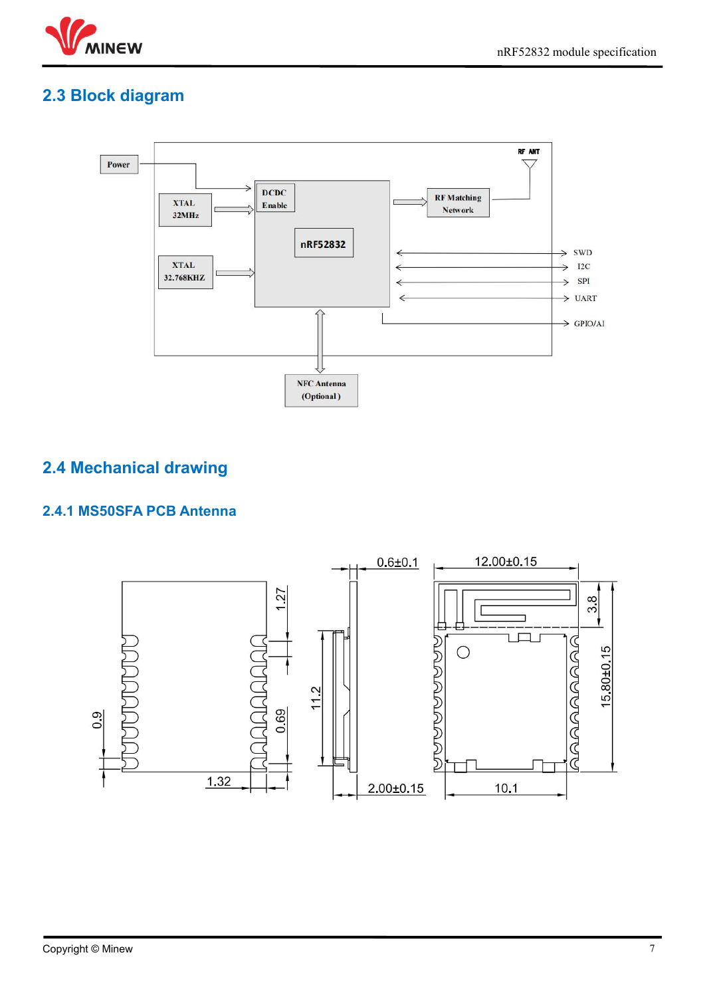

# **2.3 Block diagram**



# <span id="page-6-0"></span>**2.4 Mechanical drawing**

#### **2.4.1 MS50SFA PCB Antenna**

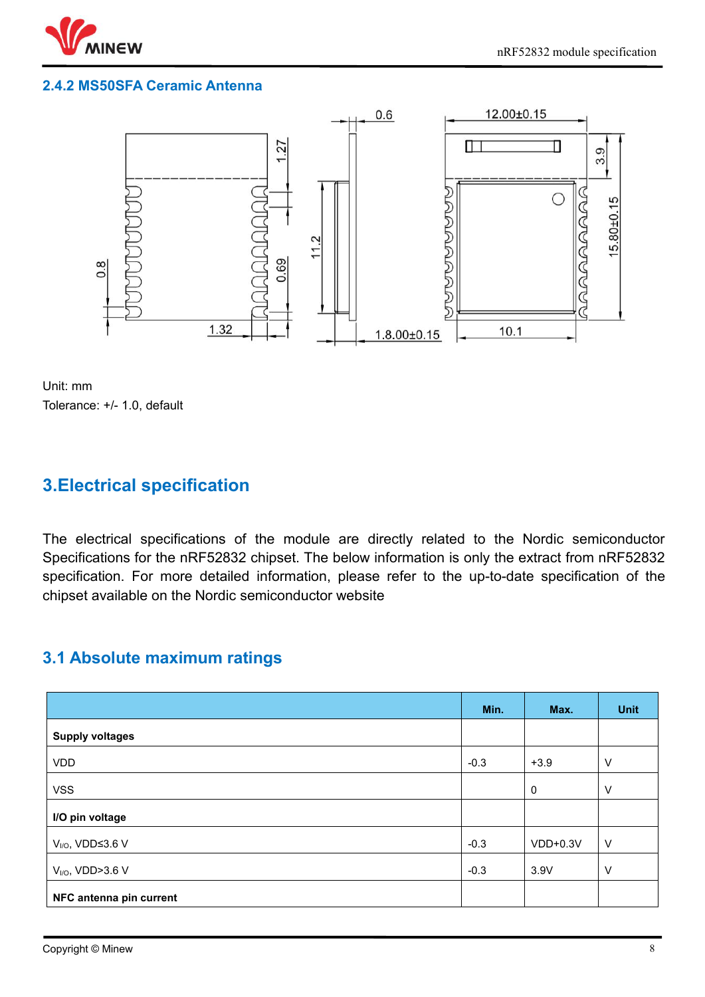

#### **2.4.2 MS50SFA Ceramic Antenna**



Unit: mm Tolerance: +/- 1.0, default

# <span id="page-7-0"></span>**3.Electrical specification**

The electrical specifications of the module are directly related to the Nordic semiconductor Specifications for the nRF52832 chipset. The below information is only the extract from nRF52832 specification. For more detailed information, please refer to the up-to-date specification of the chipset available on the Nordic semiconductor website

# <span id="page-7-1"></span>**3.1 Absolute maximum ratings**

|                                     | Min.   | Max.        | <b>Unit</b> |
|-------------------------------------|--------|-------------|-------------|
| <b>Supply voltages</b>              |        |             |             |
| <b>VDD</b>                          | $-0.3$ | $+3.9$      | V           |
| <b>VSS</b>                          |        | $\mathbf 0$ | $\vee$      |
| I/O pin voltage                     |        |             |             |
| $V_{\text{I/O}}$ , VDD $\leq$ 3.6 V | $-0.3$ | $VDD+0.3V$  | $\vee$      |
| $V_{\text{I/O}}$ , VDD>3.6 V        | $-0.3$ | 3.9V        | $\vee$      |
| NFC antenna pin current             |        |             |             |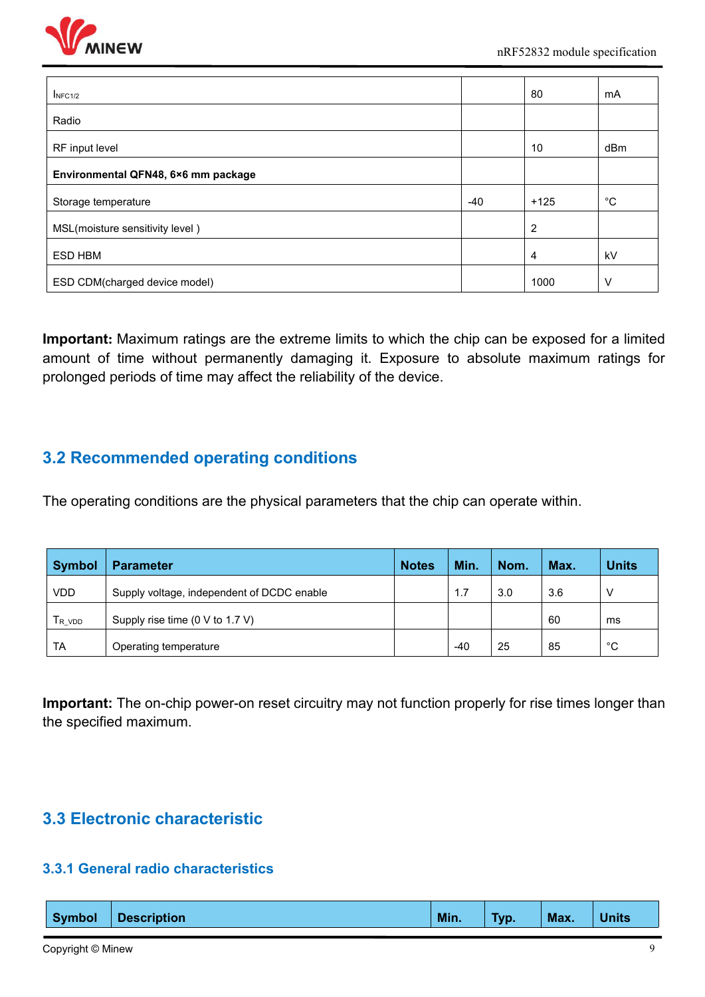

| I <sub>NFC1/2</sub>                 |       | 80             | mA          |
|-------------------------------------|-------|----------------|-------------|
| Radio                               |       |                |             |
| RF input level                      |       | 10             | dBm         |
| Environmental QFN48, 6×6 mm package |       |                |             |
| Storage temperature                 | $-40$ | $+125$         | $^{\circ}C$ |
| MSL(moisture sensitivity level)     |       | $\overline{c}$ |             |
| <b>ESD HBM</b>                      |       | 4              | kV          |
| ESD CDM(charged device model)       |       | 1000           | V           |

**Important:** Maximum ratings are the extreme limits to which the chip can be exposed for a limited amount of time without permanently damaging it. Exposure to absolute maximum ratings for prolonged periods of time may affect the reliability of the device.

# <span id="page-8-0"></span>**3.2 Recommended operating conditions**

The operating conditions are the physical parameters that the chip can operate within.

| <b>Symbol</b> | <b>Parameter</b>                           | <b>Notes</b> | Min.  | Nom. | Max. | <b>Units</b> |
|---------------|--------------------------------------------|--------------|-------|------|------|--------------|
| <b>VDD</b>    | Supply voltage, independent of DCDC enable |              | .     | 3.0  | 3.6  | V            |
| $T_{R\_VDD}$  | Supply rise time (0 V to 1.7 V)            |              |       |      | 60   | ms           |
| <b>TA</b>     | Operating temperature                      |              | $-40$ | 25   | 85   | $\sim$<br>◡  |

**Important:** The on-chip power-on reset circuitry may not function properly for rise times longer than the specified maximum.

# <span id="page-8-1"></span>**3.3 Electronic characteristic**

#### <span id="page-8-2"></span>**3.3.1 General radio characteristics**

|  | <b>Symbol</b> | <b>Description</b> | Min. | Typ. | Max. | <b>Units</b> |
|--|---------------|--------------------|------|------|------|--------------|
|--|---------------|--------------------|------|------|------|--------------|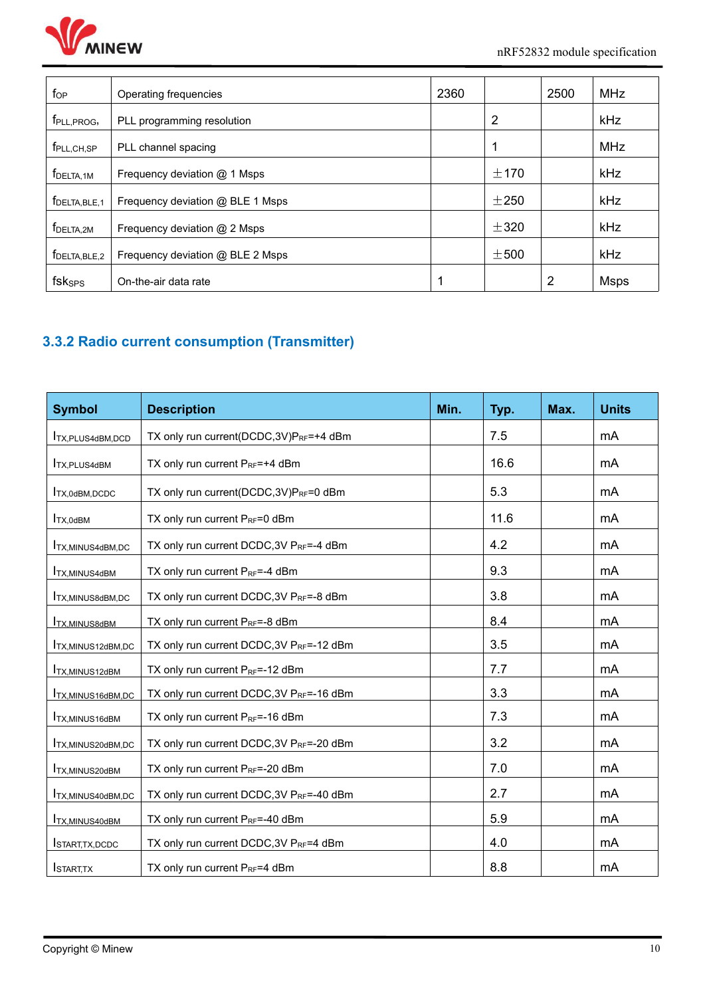

| $f_{OP}$                   | Operating frequencies            | 2360 |           | 2500           | <b>MHz</b>  |
|----------------------------|----------------------------------|------|-----------|----------------|-------------|
| f <sub>PLL,PROG</sub> ,    | PLL programming resolution       |      | 2         |                | kHz         |
| $f_{\sf PLL,CH,SP}$        | PLL channel spacing              |      |           |                | <b>MHz</b>  |
| f <sub>DELTA, 1M</sub>     | Frequency deviation @ 1 Msps     |      | ±170      |                | kHz         |
| f <sub>DELTA, BLE, 1</sub> | Frequency deviation @ BLE 1 Msps |      | ±250      |                | kHz         |
| f <sub>DELTA,2M</sub>      | Frequency deviation $@$ 2 Msps   |      | ±320      |                | kHz         |
| $f_{DELTA, BLE,2}$         | Frequency deviation @ BLE 2 Msps |      | $\pm 500$ |                | kHz         |
| fsksps                     | On-the-air data rate             |      |           | $\overline{2}$ | <b>Msps</b> |

# <span id="page-9-0"></span>**3.3.2 Radio current consumption (Transmitter)**

| <b>Symbol</b>              | <b>Description</b>                                    | Min. | Typ. | Max. | <b>Units</b> |
|----------------------------|-------------------------------------------------------|------|------|------|--------------|
| <b>ITX, PLUS4dBM, DCD</b>  | TX only run current(DCDC, 3V)PRF=+4 dBm               |      | 7.5  |      | mA           |
| <b>ITX, PLUS4dBM</b>       | TX only run current $P_{RF}$ =+4 dBm                  |      | 16.6 |      | mA           |
| TX,0dBM,DCDC               | TX only run current(DCDC,3V)PRF=0 dBm                 |      | 5.3  |      | mA           |
| $I_{TX,0dBM}$              | TX only run current $P_{RF} = 0$ dBm                  |      | 11.6 |      | mA           |
| <b>ITX, MINUS4dBM, DC</b>  | TX only run current DCDC, 3V PRF=-4 dBm               |      | 4.2  |      | mA           |
| <b>ITX, MINUS4dBM</b>      | TX only run current PRF=-4 dBm                        |      | 9.3  |      | mA           |
| <b>ITX, MINUS8dBM, DC</b>  | TX only run current DCDC, 3V PRF=-8 dBm               |      | 3.8  |      | mA           |
| <b>ITX,MINUS8dBM</b>       | TX only run current $P_{RF} = -8$ dBm                 |      | 8.4  |      | mA           |
| <b>ITX, MINUS12dBM, DC</b> | TX only run current DCDC, 3V PRF=-12 dBm              |      | 3.5  |      | mA           |
| <b>ITX, MINUS12dBM</b>     | TX only run current PRF=-12 dBm                       |      | 7.7  |      | mA           |
| <b>ITX, MINUS16dBM, DC</b> | TX only run current DCDC, 3V P <sub>RF</sub> =-16 dBm |      | 3.3  |      | mA           |
| <b>ITX, MINUS16dBM</b>     | TX only run current $P_{RF}$ =-16 dBm                 |      | 7.3  |      | mA           |
| <b>ITX, MINUS20dBM, DC</b> | TX only run current DCDC, 3V PRF=-20 dBm              |      | 3.2  |      | mA           |
| <b>ITX, MINUS20dBM</b>     | TX only run current $P_{RF}$ =-20 dBm                 |      | 7.0  |      | mA           |
| TX, MINUS40dBM, DC         | TX only run current DCDC, 3V PRF=-40 dBm              |      | 2.7  |      | mA           |
| <b>ITX, MINUS40dBM</b>     | TX only run current PRF=-40 dBm                       |      | 5.9  |      | mA           |
| START, TX, DCDC            | TX only run current DCDC, 3V PRF=4 dBm                |      | 4.0  |      | mA           |
| <b>I</b> START,TX          | TX only run current $P_{RF}$ =4 dBm                   |      | 8.8  |      | mA           |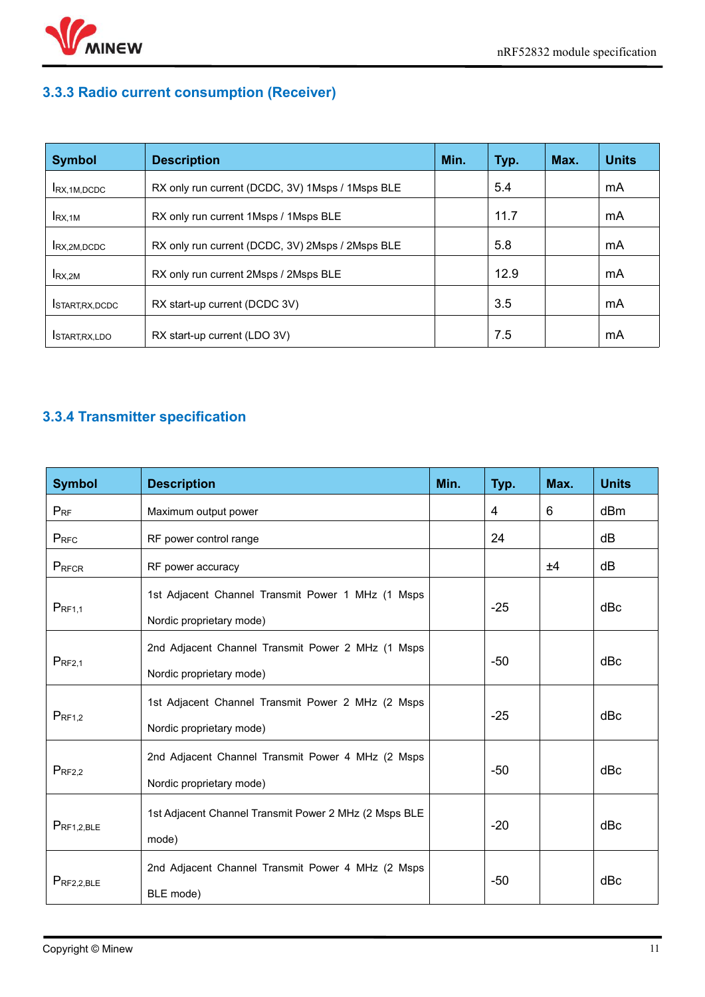

# <span id="page-10-0"></span>**3.3.3 Radio current consumption (Receiver)**

| <b>Symbol</b>            | <b>Description</b>                               | Min. | Typ. | Max. | <b>Units</b> |
|--------------------------|--------------------------------------------------|------|------|------|--------------|
| IRX, 1M, DCDC            | RX only run current (DCDC, 3V) 1Msps / 1Msps BLE |      | 5.4  |      | mA           |
| $I_{\text{RX,1M}}$       | RX only run current 1Msps / 1Msps BLE            |      | 11.7 |      | mA           |
| RX.2M.DCDC               | RX only run current (DCDC, 3V) 2Msps / 2Msps BLE |      | 5.8  |      | mA           |
| $I_{\text{RX,2M}}$       | RX only run current 2Msps / 2Msps BLE            |      | 12.9 |      | mA           |
| <b>I</b> START, RX, DCDC | RX start-up current (DCDC 3V)                    |      | 3.5  |      | mA           |
| <b>ISTART, RX, LDO</b>   | RX start-up current (LDO 3V)                     |      | 7.5  |      | mA           |

# <span id="page-10-1"></span>**3.3.4 Transmitter specification**

| <b>Symbol</b>   | <b>Description</b>                                                            | Min. | Typ.  | Max. | <b>Units</b> |
|-----------------|-------------------------------------------------------------------------------|------|-------|------|--------------|
| $P_{RF}$        | Maximum output power                                                          |      | 4     | 6    | dBm          |
| PRFC            | RF power control range                                                        |      | 24    |      | dB           |
| PRFCR           | RF power accuracy                                                             |      |       | ±4   | dB           |
| $P_{RF1,1}$     | 1st Adjacent Channel Transmit Power 1 MHz (1 Msps<br>Nordic proprietary mode) |      | $-25$ |      | dBc          |
| $P_{RF2,1}$     | 2nd Adjacent Channel Transmit Power 2 MHz (1 Msps<br>Nordic proprietary mode) |      | $-50$ |      | dBc          |
| $P_{RF1,2}$     | 1st Adjacent Channel Transmit Power 2 MHz (2 Msps<br>Nordic proprietary mode) |      | $-25$ |      | dBc          |
| $P_{RF2,2}$     | 2nd Adjacent Channel Transmit Power 4 MHz (2 Msps<br>Nordic proprietary mode) |      | $-50$ |      | dBc          |
| $P_{RF1,2,BLE}$ | 1st Adjacent Channel Transmit Power 2 MHz (2 Msps BLE<br>mode)                |      | $-20$ |      | dBc          |
| $P_{RF2,2,BLE}$ | 2nd Adjacent Channel Transmit Power 4 MHz (2 Msps<br>BLE mode)                |      | $-50$ |      | dBc          |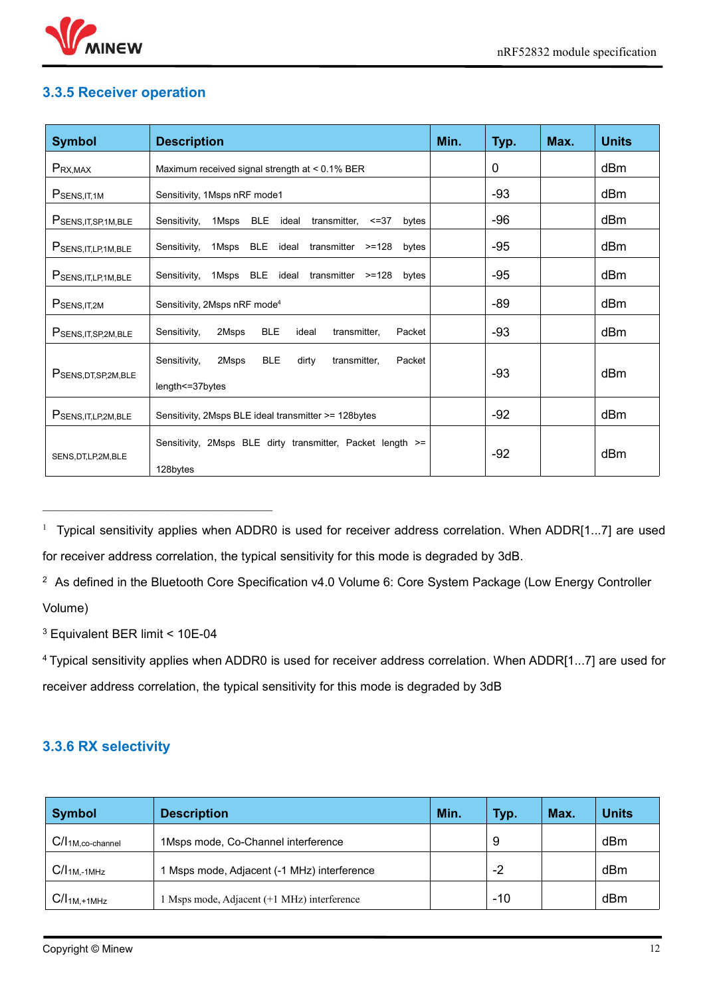

#### <span id="page-11-0"></span>**3.3.5 Receiver operation**

| <b>Symbol</b>          | <b>Description</b>                                                                          | Min. | Typ.  | Max. | <b>Units</b> |
|------------------------|---------------------------------------------------------------------------------------------|------|-------|------|--------------|
| $P_{RX,MAX}$           | Maximum received signal strength at < 0.1% BER                                              |      | 0     |      | dBm          |
| $P$ SENS, IT, 1M       | Sensitivity, 1Msps nRF mode1                                                                |      | $-93$ |      | dBm          |
| PSENS, IT, SP, 1M, BLE | 1Msps BLE<br>Sensitivity,<br>ideal<br>transmitter, <= 37<br>bytes                           |      | $-96$ |      | dBm          |
| PSENS, IT, LP, 1M, BLE | Sensitivity, 1Msps BLE ideal transmitter >=128<br>bytes                                     |      | $-95$ |      | dBm          |
| PSENS, IT, LP, 1M, BLE | Sensitivity, 1Msps BLE ideal transmitter >=128<br>bytes                                     |      | $-95$ |      | dBm          |
| $P$ SENS, IT, 2M       | Sensitivity, 2Msps nRF mode <sup>4</sup>                                                    |      | $-89$ |      | dBm          |
| PSENS, IT, SP, 2M, BLE | Sensitivity,<br><b>BLE</b><br>2Msps<br>transmitter,<br>Packet<br>ideal                      |      | $-93$ |      | dBm          |
| PSENS, DT, SP, 2M, BLE | <b>BLE</b><br>Sensitivity,<br>2Msps<br>dirty<br>transmitter,<br>Packet<br>length <= 37bytes |      | $-93$ |      | dBm          |
| PSENS, IT, LP, 2M, BLE | Sensitivity, 2Msps BLE ideal transmitter >= 128bytes                                        |      | $-92$ |      | dBm          |
| SENS, DT, LP, 2M, BLE  | Sensitivity, 2Msps BLE dirty transmitter, Packet length >=<br>128bytes                      |      | $-92$ |      | dBm          |

<sup>1</sup> Typical sensitivity applies when ADDR0 is used for receiver address correlation. When ADDR[1...7] are used for receiver address correlation, the typical sensitivity for this mode is degraded by 3dB.

<sup>2</sup> As defined in the Bluetooth Core Specification v4.0 Volume 6: Core System Package (Low Energy Controller Volume)

<sup>3</sup> Equivalent BER limit < 10E-04

\_\_\_\_\_\_\_\_\_\_\_\_\_\_\_\_\_\_\_\_\_\_\_\_\_\_\_\_\_\_\_\_\_\_\_\_\_

<sup>4</sup> Typical sensitivity applies when ADDR0 is used for receiver address correlation. When ADDR[1...7] are used for receiver address correlation, the typical sensitivity for this mode is degraded by 3dB

#### <span id="page-11-1"></span>**3.3.6 RX selectivity**

| <b>Symbol</b>         | <b>Description</b>                          | Min. | Typ.  | Max. | <b>Units</b> |
|-----------------------|---------------------------------------------|------|-------|------|--------------|
| $C/I_{1M,co-channel}$ | 1Msps mode, Co-Channel interference         |      | 9     |      | dBm          |
| $C/I1M,-1MHz$         | 1 Msps mode, Adjacent (-1 MHz) interference |      | -2    |      | dBm          |
| $C/I_{1M,+1MHz}$      | 1 Msps mode, Adjacent (+1 MHz) interference |      | $-10$ |      | dBm          |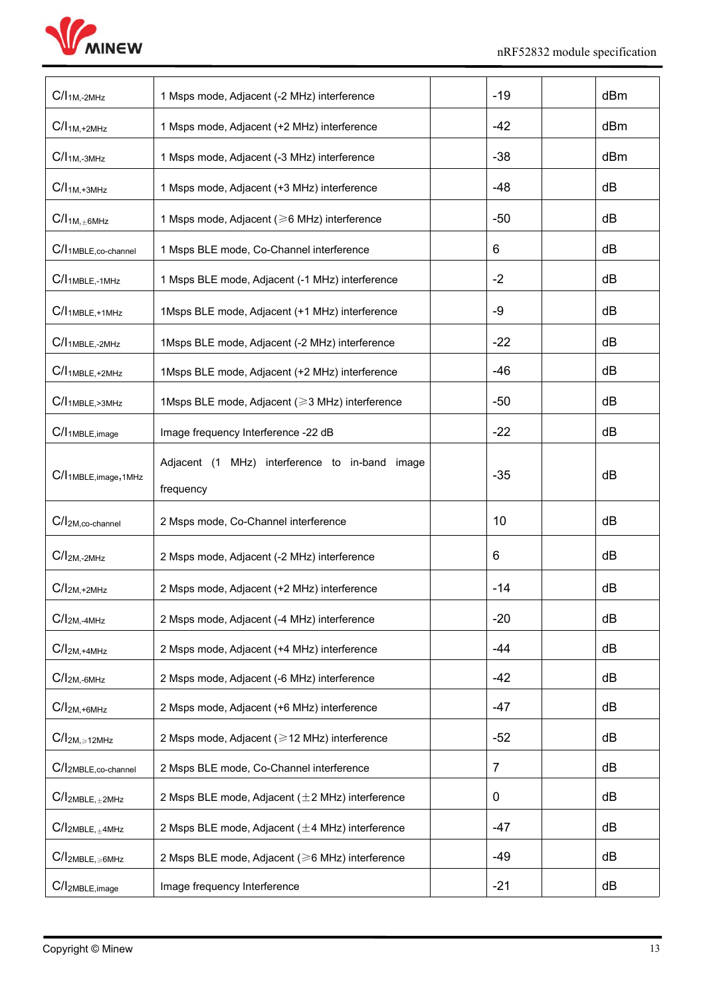

| $C/I1M, -2MHz$                     | 1 Msps mode, Adjacent (-2 MHz) interference                 | $-19$          | dBm |  |
|------------------------------------|-------------------------------------------------------------|----------------|-----|--|
| $C/I_{1M,+2MHz}$                   | 1 Msps mode, Adjacent (+2 MHz) interference                 | $-42$          | dBm |  |
| $C/I1M,-3MHz$                      | 1 Msps mode, Adjacent (-3 MHz) interference                 | $-38$          | dBm |  |
| $C/I_{1M,+3MHz}$                   | 1 Msps mode, Adjacent (+3 MHz) interference                 | $-48$          | dB  |  |
| $C/I_{1M, \pm 6MHz}$               | 1 Msps mode, Adjacent (≥6 MHz) interference                 | $-50$          | dB  |  |
| C/I <sub>1MBLE,co-channel</sub>    | 1 Msps BLE mode, Co-Channel interference                    | 6              | dB  |  |
| $C/I1MBLE,-1MHz$                   | 1 Msps BLE mode, Adjacent (-1 MHz) interference             | $-2$           | dB  |  |
| $C/I1MBLE,+1MHz$                   | 1Msps BLE mode, Adjacent (+1 MHz) interference              | $-9$           | dB  |  |
| $C/I1MBLE,-2MHz$                   | 1Msps BLE mode, Adjacent (-2 MHz) interference              | $-22$          | dB  |  |
| $C/I1MBLE,+2MHz$                   | 1Msps BLE mode, Adjacent (+2 MHz) interference              | -46            | dB  |  |
| C/I <sub>1MBLE, &gt;3MHz</sub>     | 1Msps BLE mode, Adjacent (≥3 MHz) interference              | $-50$          | dB  |  |
| C/I <sub>1</sub> MBLE, image       | Image frequency Interference -22 dB                         | $-22$          | dB  |  |
| C/I <sub>1MBLE, image</sub> , 1MHz | Adjacent (1 MHz) interference to in-band image<br>frequency | $-35$          | dB  |  |
|                                    |                                                             | 10             | dB  |  |
| $C/I2M,co$ -channel                | 2 Msps mode, Co-Channel interference                        |                |     |  |
| $C/I2M, -2MHz$                     | 2 Msps mode, Adjacent (-2 MHz) interference                 | 6              | dB  |  |
| $C/I2M,+2MHz$                      | 2 Msps mode, Adjacent (+2 MHz) interference                 | $-14$          | dB  |  |
| $C/I2M, -4MHz$                     | 2 Msps mode, Adjacent (-4 MHz) interference                 | $-20$          | dB  |  |
| $C/I2M, +4MHz$                     | 2 Msps mode, Adjacent (+4 MHz) interference                 | $-44$          | dB  |  |
| $C/I2M,-6MHz$                      | 2 Msps mode, Adjacent (-6 MHz) interference                 | $-42$          | dB  |  |
| $C/I2M,+6MHz$                      | 2 Msps mode, Adjacent (+6 MHz) interference                 | $-47$          | dB  |  |
| $C/I2M, \ge 12MHz$                 | 2 Msps mode, Adjacent (≥12 MHz) interference                | $-52$          | dB  |  |
| $C/I2MBLE,co-channel$              | 2 Msps BLE mode, Co-Channel interference                    | $\overline{7}$ | dB  |  |
| $C/I_{2MBLE, \pm 2MHz}$            | 2 Msps BLE mode, Adjacent (±2 MHz) interference             | $\mathbf 0$    | dB  |  |
| $C/I_{2MBLE, \pm 4MHz}$            | 2 Msps BLE mode, Adjacent (±4 MHz) interference             | $-47$          | dB  |  |
| $C/I_{2MBLE, \geq 6MHz}$           | 2 Msps BLE mode, Adjacent (≥6 MHz) interference             | $-49$          | dB  |  |
| C/I <sub>2MBLE,image</sub>         | Image frequency Interference                                | $-21$          | dB  |  |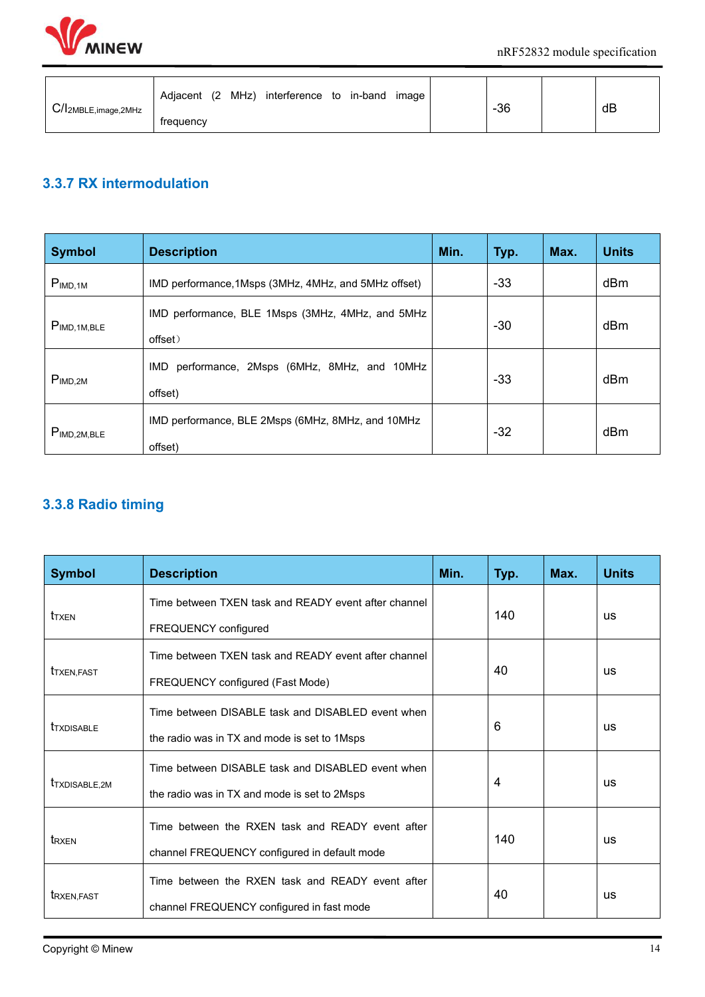

| C/I <sub>2MBLE,image,2MHz</sub> | MHz)<br>(2)<br>interference to in-band<br>Adiacent<br>image | $-36$ | dB |  |
|---------------------------------|-------------------------------------------------------------|-------|----|--|
|                                 | frequency                                                   |       |    |  |

# <span id="page-13-0"></span>**3.3.7 RX intermodulation**

| <b>Symbol</b>           | <b>Description</b>                                           | Min. | Typ.  | Max. | <b>Units</b> |
|-------------------------|--------------------------------------------------------------|------|-------|------|--------------|
| P <sub>IMD,1M</sub>     | IMD performance, 1Msps (3MHz, 4MHz, and 5MHz offset)         |      | $-33$ |      | dBm          |
| P <sub>IMD,1M,BLE</sub> | IMD performance, BLE 1Msps (3MHz, 4MHz, and 5MHz<br>offset)  |      | $-30$ |      | dBm          |
| P <sub>IMD,2M</sub>     | IMD performance, 2Msps (6MHz, 8MHz, and 10MHz<br>offset)     |      | $-33$ |      | dBm          |
| P <sub>IMD,2M,BLE</sub> | IMD performance, BLE 2Msps (6MHz, 8MHz, and 10MHz<br>offset) |      | $-32$ |      | dBm          |

# <span id="page-13-1"></span>**3.3.8 Radio timing**

| <b>Symbol</b>             | <b>Description</b>                                   | Min. | Typ. | Max. | <b>Units</b> |
|---------------------------|------------------------------------------------------|------|------|------|--------------|
|                           | Time between TXEN task and READY event after channel |      |      |      |              |
| t <sub>TXEN</sub>         | FREQUENCY configured                                 |      | 140  |      | <b>US</b>    |
|                           | Time between TXEN task and READY event after channel |      |      |      |              |
| <b>T</b> TXEN, FAST       | FREQUENCY configured (Fast Mode)                     |      | 40   |      | <b>US</b>    |
|                           | Time between DISABLE task and DISABLED event when    |      |      |      |              |
| <b>T</b> TXDISABLE        | the radio was in TX and mode is set to 1Msps         | 6    |      |      | <b>us</b>    |
|                           | Time between DISABLE task and DISABLED event when    |      |      |      |              |
| t <sub>TXDISABLE,2M</sub> | the radio was in TX and mode is set to 2Msps         |      | 4    |      | <b>US</b>    |
|                           | Time between the RXEN task and READY event after     |      |      |      |              |
| t <sub>RXEN</sub>         | channel FREQUENCY configured in default mode         | 140  |      |      | <b>US</b>    |
|                           | Time between the RXEN task and READY event after     |      |      |      |              |
| <b>t</b> RXEN, FAST       | channel FREQUENCY configured in fast mode            |      | 40   |      | <b>US</b>    |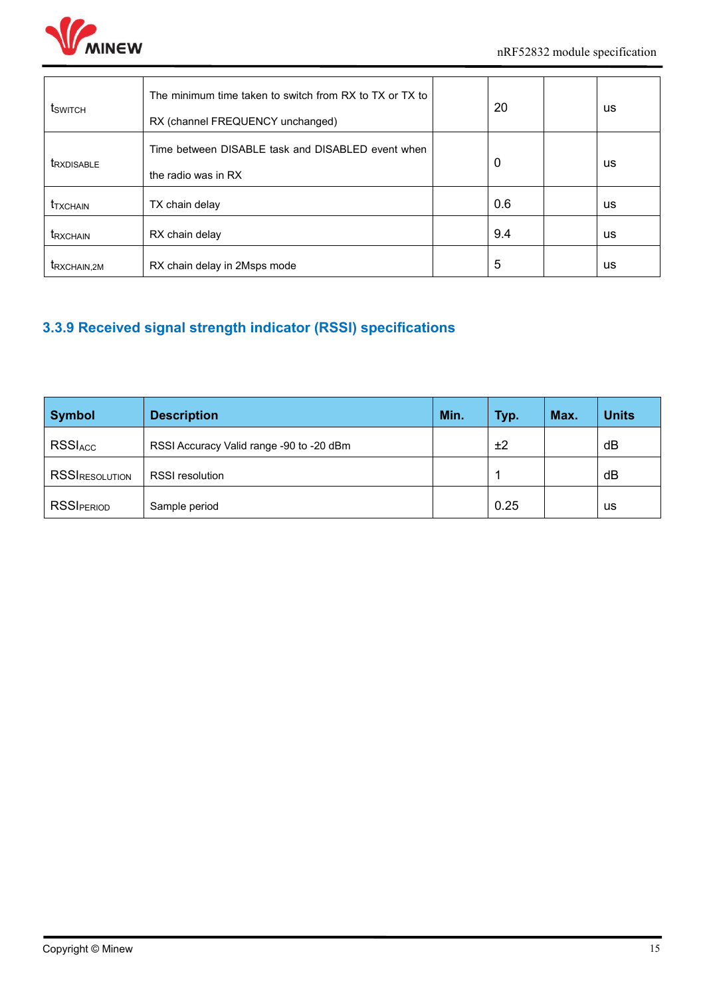

| <b>t</b> switch         | The minimum time taken to switch from RX to TX or TX to<br>RX (channel FREQUENCY unchanged) | 20  | <b>us</b> |  |
|-------------------------|---------------------------------------------------------------------------------------------|-----|-----------|--|
| <b>TRXDISABLE</b>       | Time between DISABLE task and DISABLED event when<br>the radio was in RX                    | 0   | <b>us</b> |  |
| <b><i>TXCHAIN</i></b>   | TX chain delay                                                                              | 0.6 | <b>us</b> |  |
| <b>t</b> RXCHAIN        | RX chain delay                                                                              | 9.4 | <b>us</b> |  |
| t <sub>RXCHAIN,2M</sub> | RX chain delay in 2Msps mode                                                                | 5   | us        |  |

# <span id="page-14-0"></span>**3.3.9 Received signal strength indicator (RSSI) specifications**

| <b>Symbol</b>     | <b>Description</b>                       | Min. | <b>Typ.</b> | Max. | <b>Units</b> |
|-------------------|------------------------------------------|------|-------------|------|--------------|
| <b>RSSIACC</b>    | RSSI Accuracy Valid range -90 to -20 dBm |      | ±2          |      | dB           |
| RSSIRESOLUTION    | <b>RSSI</b> resolution                   |      |             |      | dB           |
| <b>RSSIPERIOD</b> | Sample period                            |      | 0.25        |      | us           |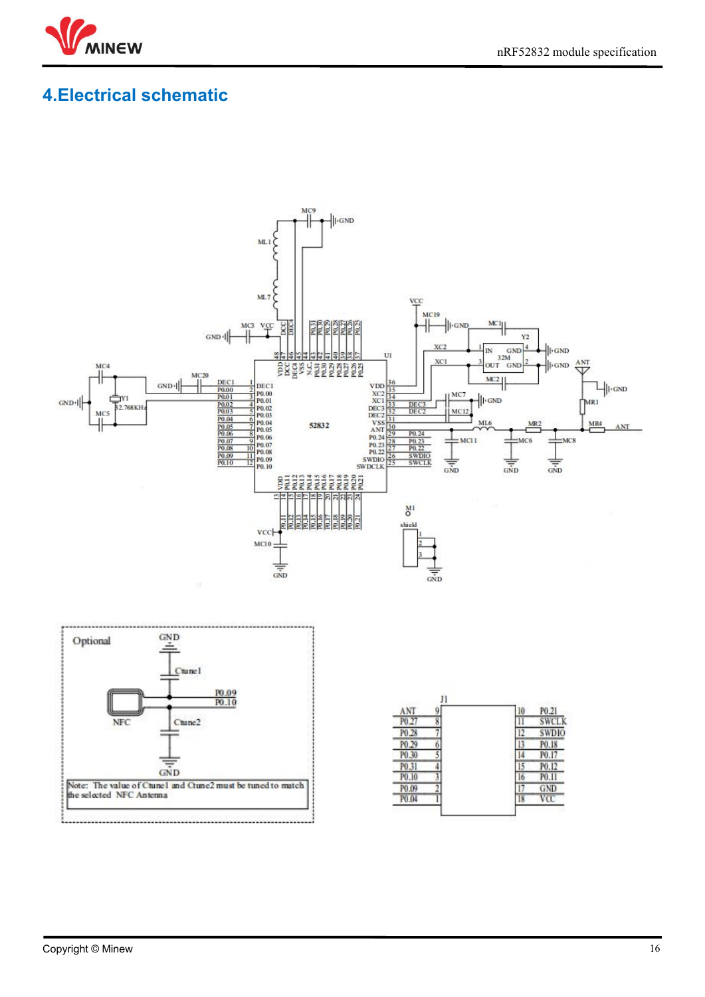

# <span id="page-15-0"></span>**4.Electrical schematic**

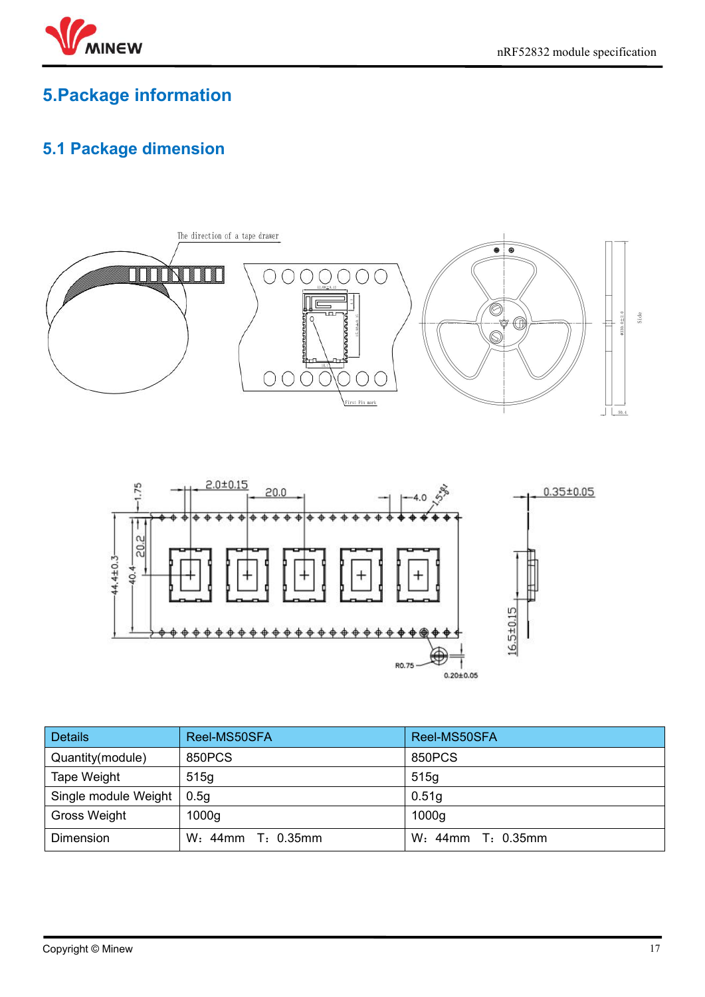

# <span id="page-16-0"></span>**5.Package information**

# <span id="page-16-1"></span>**5.1 Package dimension**



| <b>Details</b>       | Reel-MS50SFA      | Reel-MS50SFA      |
|----------------------|-------------------|-------------------|
| Quantity(module)     | 850PCS            | 850PCS            |
| Tape Weight          | 515g              | 515q              |
| Single module Weight | 0.5q              | 0.51 <sub>g</sub> |
| Gross Weight         | 1000 <sub>g</sub> | 1000 <sub>g</sub> |
| Dimension            | W: 44mm T: 0.35mm | W: 44mm T: 0.35mm |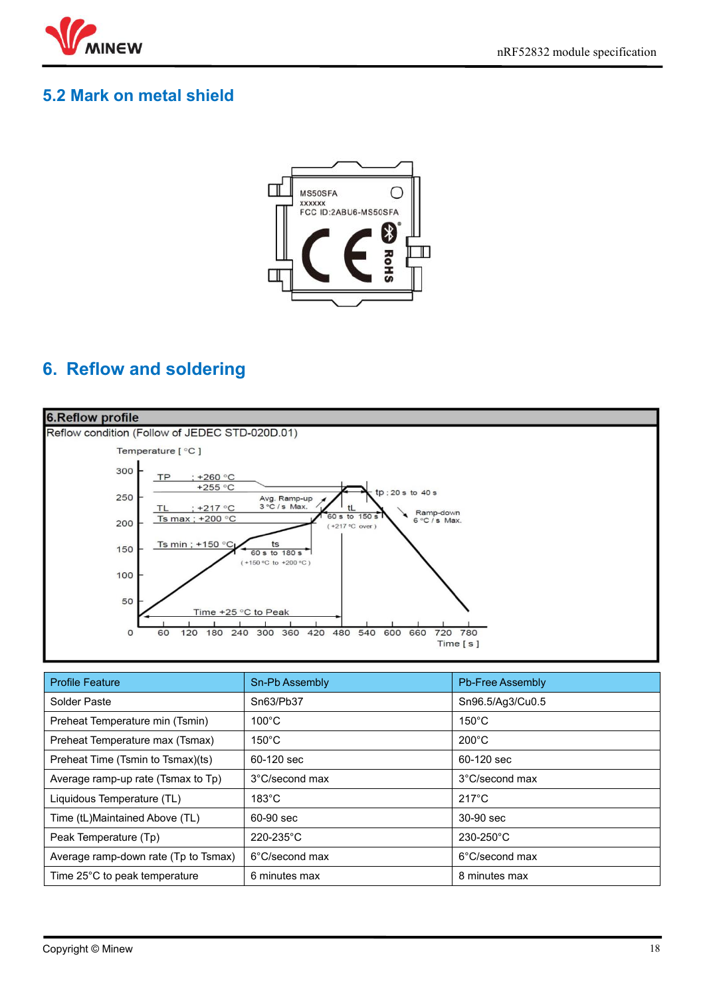

# <span id="page-17-0"></span>**5.2 Mark on metal shield**



# <span id="page-17-1"></span>**6. Reflow and soldering**



| <b>Profile Feature</b>               | Sn-Pb Assembly  | <b>Pb-Free Assembly</b> |
|--------------------------------------|-----------------|-------------------------|
| Solder Paste                         | Sn63/Pb37       | Sn96.5/Ag3/Cu0.5        |
| Preheat Temperature min (Tsmin)      | $100^{\circ}$ C | $150^{\circ}$ C         |
| Preheat Temperature max (Tsmax)      | $150^{\circ}$ C | $200^{\circ}$ C         |
| Preheat Time (Tsmin to Tsmax)(ts)    | 60-120 sec      | 60-120 sec              |
| Average ramp-up rate (Tsmax to Tp)   | 3°C/second max  | 3°C/second max          |
| Liquidous Temperature (TL)           | $183^{\circ}$ C | $217^{\circ}$ C         |
| Time (tL)Maintained Above (TL)       | 60-90 sec       | 30-90 sec               |
| Peak Temperature (Tp)                | 220-235°C       | $230 - 250^{\circ}$ C   |
| Average ramp-down rate (Tp to Tsmax) | 6°C/second max  | 6°C/second max          |
| Time 25°C to peak temperature        | 6 minutes max   | 8 minutes max           |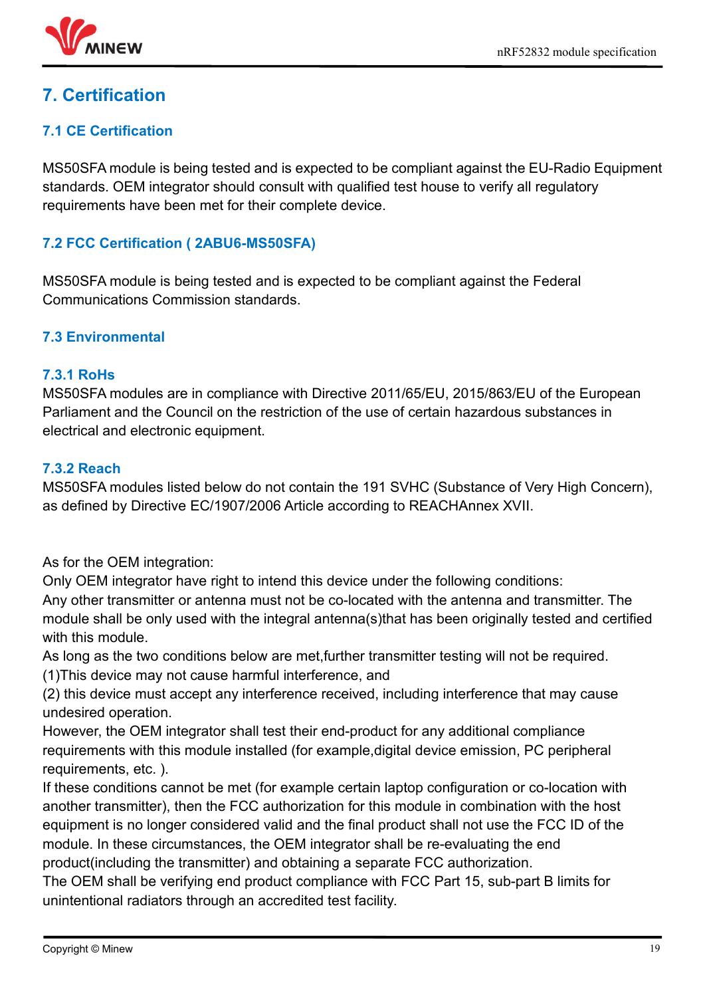# <span id="page-18-0"></span>**7. Certification**

### **7.1 CE Certification**

MS50SFA module is being tested and is expected to be compliant against the EU-Radio Equipment standards. OEM integrator should consult with qualified test house to verify all regulatory requirements have been met for their complete device.

#### **7.2 FCC Certification ( 2ABU6-MS50SFA)**

MS50SFA module is being tested and is expected to be compliant against the Federal Communications Commission standards.

#### **7.3 Environmental**

#### **7.3.1 RoHs**

MS50SFA modules are in compliance with Directive 2011/65/EU, 2015/863/EU of the European Parliament and the Council on the restriction of the use of certain hazardous substances in electrical and electronic equipment.

#### **7.3.2 Reach**

MS50SFA modules listed below do not contain the 191 SVHC (Substance of Very High Concern), as defined by Directive EC/1907/2006 Article according to REACHAnnex XVII.

As for the OEM integration:

Only OEM integrator have right to intend this device under the following conditions:

Any other transmitter or antenna must not be co-located with the antenna and transmitter. The module shall be only used with the integral antenna(s)that has been originally tested and certified with this module.

As long as the two conditions below are met,further transmitter testing will not be required.

(1)This device may not cause harmful interference, and

(2) this device must accept any interference received, including interference that may cause undesired operation.

However, the OEM integrator shall test their end-product for any additional compliance requirements with this module installed (for example,digital device emission, PC peripheral requirements, etc. ).

If these conditions cannot be met (for example certain laptop configuration or co-location with another transmitter), then the FCC authorization for this module in combination with the host equipment is no longer considered valid and the final product shall not use the FCC ID of the module. In these circumstances, the OEM integrator shall be re-evaluating the end product(including the transmitter) and obtaining a separate FCC authorization.

The OEM shall be verifying end product compliance with FCC Part 15, sub-part B limits for unintentional radiators through an accredited test facility.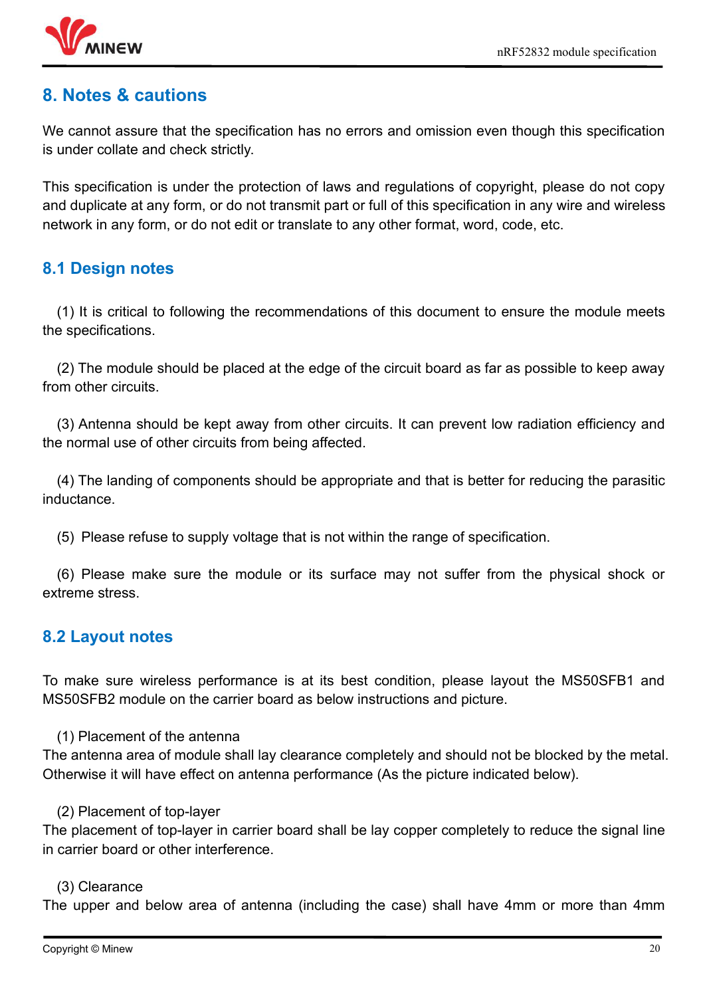

# <span id="page-19-0"></span>**8..Notes & cautions**

We cannot assure that the specification has no errors and omission even though this specification is under collate and check strictly.

This specification is under the protection of laws and regulations of copyright, please do not copy and duplicate at any form, or do not transmit part or full of this specification in any wire and wireless network in any form, or do not edit or translate to any other format, word, code, etc.

# <span id="page-19-1"></span>**8.1 Design notes**

(1) It is critical to following the recommendations of this document to ensure the module meets the specifications.

(2) The module should be placed at the edge of the circuit board as far as possible to keep away from other circuits.

(3) Antenna should be kept away from other circuits. It can prevent low radiation efficiency and the normal use of other circuits from being affected.

(4) The landing of components should be appropriate and that is better for reducing the parasitic inductance.

(5) Please refuse to supply voltage that is not within the range of specification.

(6) Please make sure the module or its surface may not suffer from the physical shock or extreme stress.

# <span id="page-19-2"></span>**8.2 Layout notes**

To make sure wireless performance is at its best condition, please layout the MS50SFB1 and MS50SFB2 module on the carrier board as below instructions and picture.

#### (1) Placement of the antenna

The antenna area of module shall lay clearance completely and should not be blocked by the metal. Otherwise it will have effect on antenna performance (As the picture indicated below).

#### (2) Placement of top-layer

The placement of top-layer in carrier board shall be lay copper completely to reduce the signal line in carrier board or other interference.

#### (3) Clearance

The upper and below area of antenna (including the case) shall have 4mm or more than 4mm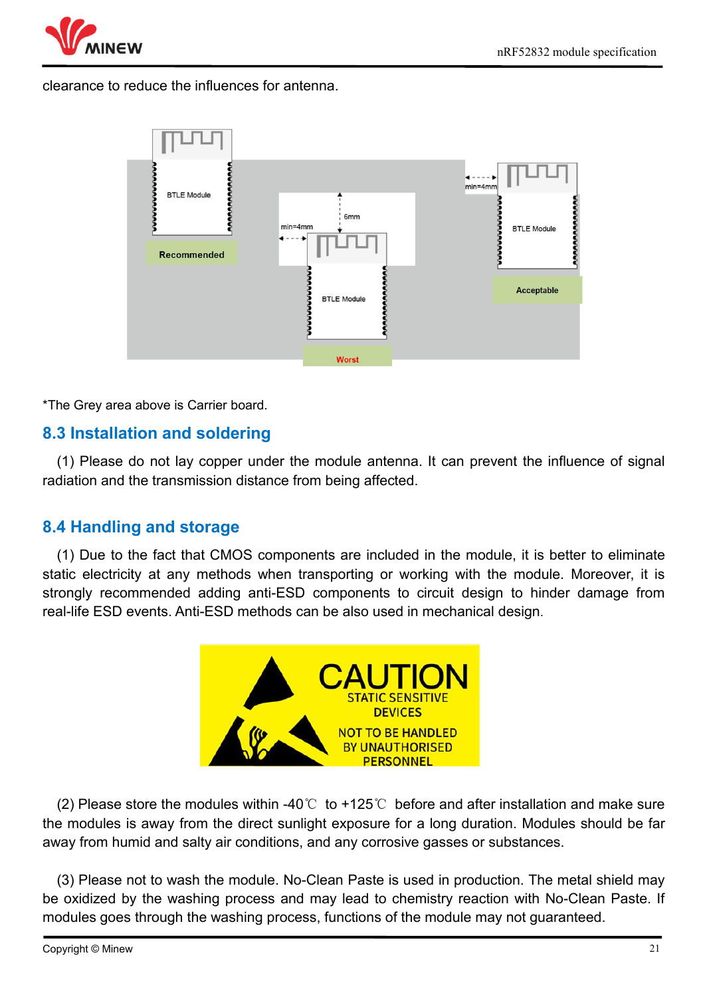

clearance to reduce the influences for antenna.



\*The Grey area above is Carrier board.

# <span id="page-20-0"></span>**8.3 Installation and soldering**

(1) Please do not lay copper under the module antenna. It can prevent the influence of signal radiation and the transmission distance from being affected.

#### <span id="page-20-1"></span>**8.4 Handling and storage**

(1) Due to the fact that CMOS components are included in the module, it is better to eliminate static electricity at any methods when transporting or working with the module. Moreover, it is strongly recommended adding anti-ESD components to circuit design to hinder damage from real-life ESD events. Anti-ESD methods can be also used in mechanical design.



(2) Please store the modules within -40°C to +125°C before and after installation and make sure the modules is away from the direct sunlight exposure for a long duration. Modules should be far away from humid and salty air conditions, and any corrosive gasses or substances.

(3) Please not to wash the module. No-Clean Paste is used in production. The metal shield may be oxidized by the washing process and may lead to chemistry reaction with No-Clean Paste. If modules goes through the washing process, functions of the module may not guaranteed.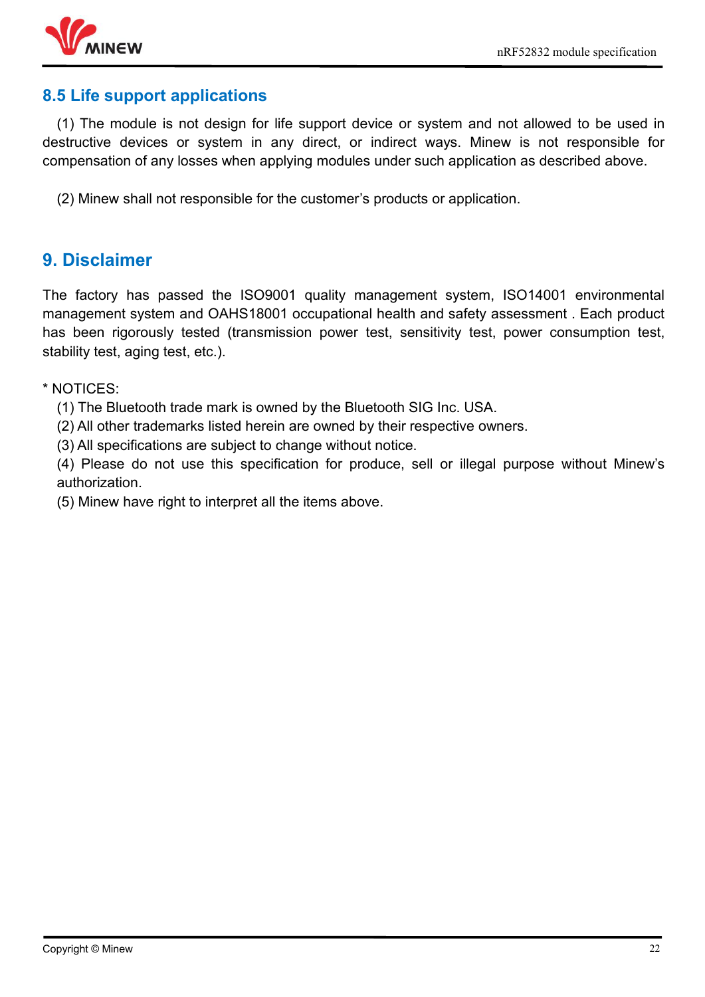

### <span id="page-21-0"></span>**8.5 Life support applications**

(1) The module is not design for life support device or system and not allowed to be used in destructive devices or system in any direct, or indirect ways. Minew is not responsible for compensation of any losses when applying modules under such application as described above.

(2) Minew shall not responsible for the customer's products or application.

# <span id="page-21-1"></span>**9. Disclaimer**

The factory has passed the ISO9001 quality management system, ISO14001 environmental management system and OAHS18001 occupational health and safety assessment . Each product has been rigorously tested (transmission power test, sensitivity test, power consumption test, stability test, aging test, etc.).

\* NOTICES:

(1) The Bluetooth trade mark is owned by the Bluetooth SIG Inc. USA.

(2) All other trademarks listed herein are owned by their respective owners.

(3) All specifications are subject to change without notice.

(4) Please do not use this specification for produce, sell or illegal purpose without Minew's authorization.

(5) Minew have right to interpret all the items above.